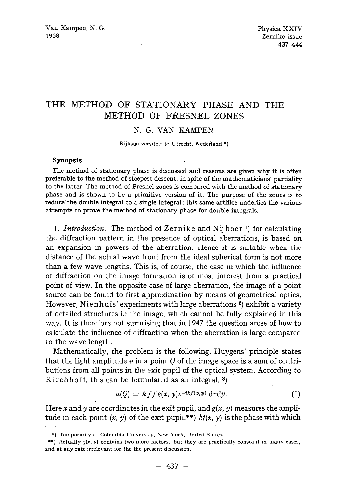## **THE METHOD OF STATIONARY PHASE AND THE METHOD OF FRESNEL ZONES**

## N. G. VAN KAMPEN

Rijksuniversiteit te Utrecht, Nederland \*)

## **Synopsis**

The method of stationary phase is discussed and reasons are given why it is often preferable to the method of steepest descent, in spite of the mathematicians' partiality to the latter. The method of Fresnel zones is compared with the method of stationary phase and is shown to be a primitive version of it. The purpose of the zones is to reduce'the double integral to a single integral; this same artifice underlies the various attempts to prove the method of stationary phase for double integrals.

1. *Introduction*. The method of Zernike and Nijboer<sup>1</sup>) for calculating the diffraction pattern in the presence of optical aberrations, is based on an expansion in powers of the aberration. Hence it is suitable when the distance of the actual wave front from the ideal spherical form is not more than a few wave lengths. This is, of course, the case in which the influence of diffraction on the image formation is of most interest from a practical point of view. In the opposite case of large aberration, the image of a point source can be found to first approximation by means of geometrical optics. However, Nienhuis' experiments with large aberrations 2) exhibit a variety of detailed structures in the image, which cannot be fully explained in this way. It is therefore not surprising that in 1947 the question arose of how to calculate the influence of diffraction when the aberration is large compared to the wave length.

Mathematically, the problem is the following. Huygens' principle states that the light amplitude  $u$  in a point  $Q$  of the image space is a sum of contributions from all points in the exit pupil of the optical system. According to Kirchhoff, this can be formulated as an integral, 3)

$$
u(Q) = k \int \int g(x, y) e^{-ikf(x, y)} dx dy.
$$
 (1)

Here x and y are coordinates in the exit pupil, and  $g(x, y)$  measures the amplitude in each point  $(x, y)$  of the exit pupil.\*\*)  $kf(x, y)$  is the phase with which

*f* 

<sup>\*)</sup> Temporarily at Columbia University, New York, United States.

<sup>\*\*)</sup> Actually  $g(x, y)$  contains two more factors, but they are practically constant in many cases, and at any rate irrelevant for the the present discussion.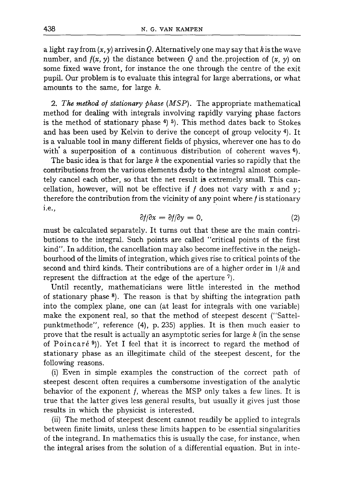a light ray from  $(x, y)$  arrives in Q. Alternatively one may say that k is the wave number, and  $f(x, y)$  the distance between Q and the projection of  $(x, y)$  on some fixed wave front, for instance the one through the centre of the exit pupil. Our problem is to evaluate this integral for large aberrations, or what amounts to the same, for large k.

2. The method of stationary phase (MSP). The appropriate mathematical method for dealing with integrals involving rapidly varying phase factors is the method of stationary phase  $4$ )  $5$ ). This method dates back to Stokes and has been used by Kelvin to derive the concept of group velocity 4). It is a valuable tool in many different fields of physics, wherever one has to do with' a superposition of a continuous distribution of coherent waves  $6$ ).

The basic idea is that for large  $k$  the exponential varies so rapidly that the contributions from the various elements *dxdy* to the integral almost completely cancel each other, so that the net result is extremely small. This cancellation, however, will not be effective if  $f$  does not vary with  $x$  and  $y$ ; therefore the contribution from the vicinity of any point where  $f$  is stationary i.e.,

$$
\frac{\partial f}{\partial x} = \frac{\partial f}{\partial y} = 0, \tag{2}
$$

must be calculated separately. It turns out that these are the main contributions to the integral. Such points are called "critical points of the first kind". In addition, the cancellation may also become ineffective in the neighbourhood of the limits of integration, which gives rise to critical points of the second and third kinds. Their contributions are of a higher order in *1/k* and represent the diffraction at the edge of the aperture 7).

Until recently, mathematicians were little interested in the method of stationary phase  $\frac{8}{1}$ . The reason is that by shifting the integration path into the complex plane, one can (at least for integrals with one variable) make the exponent real, so that the method of steepest descent ("Sattelpunktmethode", reference (4), p. 235) applies. It is then much easier to prove that the result is actually an asymptotic series for large  $k$  (in the sense of Poincaré<sup>9</sup>). Yet I feel that it is incorrect to regard the method of stationary phase as an illegitimate child of the steepest descent, for the following reasons.

(i) Even in simple examples the construction of the correct path of steepest descent often requires a cumbersome investigation of the analytic behavior of the exponent  $f$ , whereas the MSP only takes a few lines. It is true that the latter gives less general results, but usually it gives just those results in which the physicist is interested.

(ii) The method of steepest descent cannot readily be applied to integrals between finite limits, unless these limits happen to be essential singularities of the integrand. In mathematics this is usually the case, for instance, when the integral arises from the solution of a differential equation. But in inte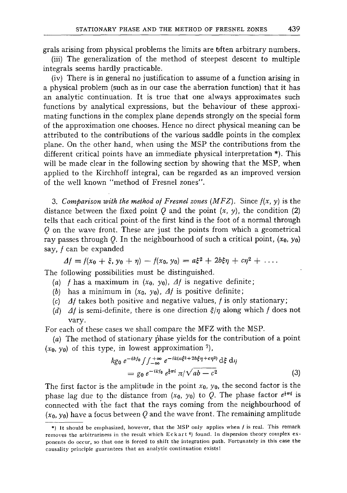grals arising from physical problems the limits are often arbitrary numbers.

(iii) The generalization of the method of steepest descent to multiple integrals seems hardly practicable.

(iv) There is in general no justification to assume of a function arising in a physical problem (such as in our case the aberration function) that it has an analytic continuation. It is true that one always approximates such functions by analytical expressions, but the behaviour of these approximating functions in the complex plane depends strongly on the special form of the approximation one chooses. Hence no direct physical meaning can be attributed to the contributions of the various saddle points in the complex plane. On the other hand, when using the MSP the contributions from the different critical points have an immediate physical interpretation \*). This will be made clear in the following section by showing that the MSP, when applied to the Kirchhoff integral, can be regarded as an improved version of the well known "method of Fresnel zones".

3. Comparison with the method of Fresnel zones  $(MFZ)$ . Since  $f(x, y)$  is the distance between the fixed point  $Q$  and the point  $(x, y)$ , the condition  $(2)$ tells that each critical point of the first kind is the foot of a normal through Q on the *wave* front. These are just the points from which a geometrical ray passes through Q. In the neighbourhood of such a critical point,  $(x_0, y_0)$ say, / can be expanded

$$
\Delta f = f(x_0 + \xi, y_0 + \eta) - f(x_0, y_0) = a\xi^2 + 2b\xi\eta + c\eta^2 + \ldots
$$

The following possibilities must be distinguished.

- (a) *f* has a maximum in  $(x_0, y_0)$ ,  $\Delta f$  is negative definite;
- (b) has a minimum in  $(x_0, y_0)$ ,  $\Delta f$  is positive definite;
- *(c) A/takes* both positive and negative values, / is only stationary;
- (d)  $\Delta f$  is semi-definite, there is one direction  $\zeta/\eta$  along which f does not vary.

For each of these cases we shall compare the MFZ with the MSP.

(a) The method of stationary phase yields for the contribution of a point  $(x_0, y_0)$  of this type, in lowest approximation  $7$ ),

$$
kg_0 e^{-ikf_0} \int_{-\infty}^{+\infty} e^{-ik(a\xi^2 + 2b\xi\eta + c\eta^2)} d\xi d\eta
$$
  
=  $g_0 e^{-ikf_0} e^{\frac{1}{2}\pi i} \pi/\sqrt{ab - c^2}$  (3)

The first factor is the amplitude in the point  $x_0$ ,  $y_0$ , the second factor is the phase lag due to the distance from  $(x_0, y_0)$  to Q. The phase factor  $e^{\frac{1}{2} \pi i}$  is connected with 'the fact that the rays coming from the neighbourhood of  $(x_0, y_0)$  have a focus between Q and the wave front. The remaining amplitude

<sup>\*)</sup> It should be emphasized, however, that the MSP only applies when f is real. This remark removes the arbitrariness in the result which Eckart<sup>6</sup>) found. In dispersion theory complex exponents do occur, so that one is forced to shift the integration **path.** Fortunately in this case **the**  causality principle guarantees that an analytic continuation exists!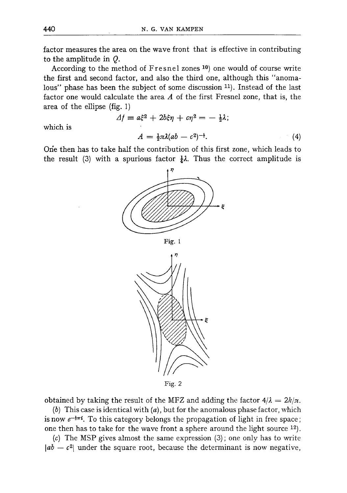factor measures the area on the wave front that is effective in contributing to the amplitude in Q.

According to the method of Fresnel zones 10) one would of course write the first and second factor, and also the third one, although this "anomalous" phase has been the subject of some discussion <sup>11</sup>). Instead of the last factor one would calculate the area A of the first Fresnel zone, that is, the area of the ellipse (fig. 1)

$$
\Delta f = a\xi^2 + 2b\xi\eta + c\eta^2 = -\frac{1}{2}\lambda;
$$
  

$$
A = \frac{1}{2}\pi\lambda(ab - c^2)^{-\frac{1}{2}}.
$$
 (4)

which is

One then has to take half the contribution of this first zone, which leads to the result (3) with a spurious factor  $\frac{1}{4} \lambda$ . Thus the correct amplitude is







Fig. 2

obtained by taking the result of the MFZ and adding the factor  $4/\lambda = 2k/\pi$ .

(b) This case is identical with  $(a)$ , but for the anomalous phase factor, which is now  $e^{-\frac{1}{2}\pi i}$ . To this category belongs the propagation of light in free space; one then has to take for the wave front a sphere around the light source 12).

(c) The MSP gives almost the same expression (3); one only has to write  $|ab - c^2|$  under the square root, because the determinant is now negative,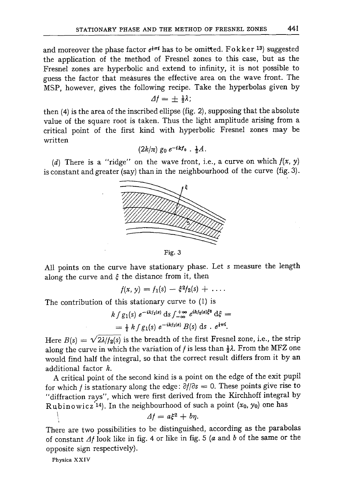and moreover the phase factor  $e^{\frac{1}{2} \pi i}$  has to be omitted. Fokker <sup>13</sup>) suggested the application of the method of Fresnel zones to this case, but as the Fresnel zones are hyperbolic and extend to infinity, it is not possible to guess the factor that measures the effective area on the wave front. The MSP, however, gives the following recipe. Take the hyperbolas given by

$$
\Delta f = \pm \frac{1}{2}\lambda;
$$

then (4) is the area of the inscribed ellipse (fig. 2), supposing that the absolute value of the square root is taken. Thus the light amplitude arising from a critical point of the first kind with hyperbolic Fresnel zones may be written

$$
(2k/\pi) g_0 e^{-ikf_0} \cdot \frac{1}{2}A.
$$

(d) There is a "ridge" on the wave front, i.e., a curve on which  $f(x, y)$ is constant and greater (say) than in the neighbourhood of the curve (fig. 3).



Fig. 3

All points on the curve have stationary phase. Let s measure the length along the curve and  $\xi$  the distance from it, then

$$
f(x, y) = f_1(s) - \xi^2 f_2(s) + \ldots
$$

The contribution of this stationary curve to (1) is

$$
k \int g_1(s) \ e^{-ikf_1(s)} \ ds \int_{-\infty}^{+\infty} e^{ikf_2(s)\xi^2} \ d\xi =
$$
  
=  $\frac{1}{2} k \int g_1(s) \ e^{-ikf_1(s)} B(s) \ ds \ . \ e^{\frac{1}{4}\pi i}$ .

Here  $B(s) = \sqrt{2\lambda/f_2(s)}$  is the breadth of the first Fresnel zone, i.e., the strip along the curve in which the variation of f is less than  $\frac{1}{2}\lambda$ . From the MFZ one would find half the integral, so that the correct result differs from it by an additional factor  $k$ .

A critical point of the second kind is a point on the edge of the exit pupil for which *f* is stationary along the edge:  $\partial f/\partial s = 0$ . These points give rise to "diffraction rays", which were first derived from the Kirchhoff integral by Rubinowicz<sup>'14</sup>). In the neighbourhood of such a point  $(x_0, y_0)$  one has

$$
\Delta f = a\xi^2 + b\eta.
$$

There are two possibilities to be distinguished, according as the parabolas of constant  $\Delta f$  look like in fig. 4 or like in fig. 5 (a and b of the same or the opposite sign respectively).

Physica XXIV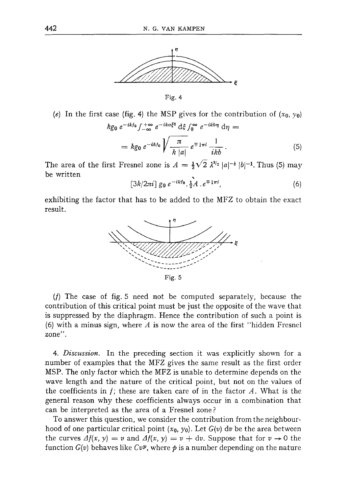

Fig. 4

(e) In the first case (fig. 4) the MSP gives for the contribution of  $(x_0, y_0)$ 

$$
kg_0 e^{-ikf_0} \int_{-\infty}^{+\infty} e^{-ikq\xi^2} d\xi \int_0^{\infty} e^{-ikb\eta} d\eta =
$$
  
=  $kg_0 e^{-ikf_0} \sqrt{\frac{\pi}{k |a|}} e^{\mp i\pi i} \frac{1}{ikb}.$  (5)

The area of the first Fresnel zone is  $A = \frac{1}{3}\sqrt{2} \lambda^{3/2} |a|^{-\frac{1}{2}} |b|^{-1}$ . Thus (5) may be written

$$
[3k/2\pi i] g_0 e^{-ikf_0} \cdot \frac{1}{2} A \cdot e^{\mp i\pi i}, \tag{6}
$$

exhibiting the factor that has to be added to the MFZ to obtain the exact result.



(f) The case of fig. 5 need not be computed separately, because the contribution of this critical point must be just the opposite of the wave that is suppressed by the diaphragm. Hence the contribution of such a point is (6) with a minus sign, where  $A$  is now the area of the first "hidden Fresnel zone".

*4. Discussion.* In the preceding section it was explicitly shown for a number of examples that the MFZ gives the same result as the first order MSP. The only factor which the MFZ is unable to determine depends on the wave length and the nature of the critical point, but not on the values of the coefficients in  $f$ ; these are taken care of in the factor  $A$ . What is the general reason why these coefficients always occur in a combination that can be interpreted as the area of a Fresnel zone ?

To answer this question, we consider the contribution from the neighbourhood of one particular critical point  $(x_0, y_0)$ . Let  $G(v)$  dv be the area between the curves  $\Delta f(x, y) = v$  and  $\Delta f(x, y) = v + dv$ . Suppose that for  $v \to 0$  the function  $G(v)$  behaves like  $Cv<sup>p</sup>$ , where  $\phi$  is a number depending on the nature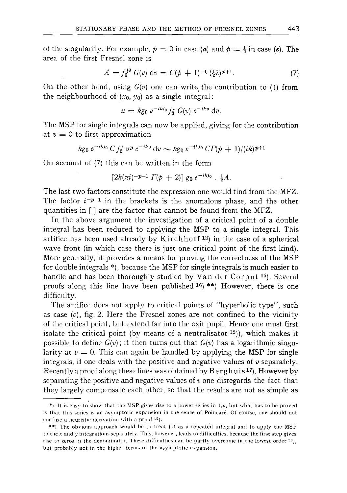of the singularity. For example,  $p = 0$  in case (*a*) and  $p = \frac{1}{2}$  in case (*e*). The area of the first Fresnel zone is

$$
A = \int_0^{\frac{1}{2}} G(v) dv = C(p+1)^{-1} (\frac{1}{2}\lambda)^{p+1}.
$$
 (7)

On the other hand, using *G(v)* one can write the contribution to (1) from the neighbourhood of  $(x_0, y_0)$  as a single integral:

$$
u = k g_0 e^{-ikt_0} \int_0^{\varepsilon} G(v) e^{-ikv} dv.
$$

The MSP for single integrals can now be applied, giving for the contribution at  $v = 0$  to first approximation

$$
kg_0 e^{-ikf_0} C f_0^{\epsilon} v^p e^{-ikv} dv \sim kg_0 e^{-ikf_0} C \Gamma(\phi + 1)/(ik)^{p+1}
$$

On account of (7) this can be written in the form

$$
[2k(\pi i)^{-p-1} \Gamma(p+2)] \, g_0 \, e^{-ikf_0} \cdot \frac{1}{2}A.
$$

The last two factors constitute the expression one would find from the MFZ. The factor  $i^{-p-1}$  in the brackets is the anomalous phase, and the other quantities in  $\lceil \cdot \rceil$  are the factor that cannot be found from the MFZ.

In the above argument the investigation of a critical point of a double integral has been reduced to applying the MSP to a single integral. This artifice has been used already by Kirchhoff  $12$ ) in the case of a spherical wave front (in which case there is just one critical point of the first kind). More generally, it provides a means for proving the correctness of the MSP for double integrals \*), because the MSP for single integrals is much easier to handle and has been thoroughly studied by Van der Corput 15). Several proofs along this line have been published 16) \*\*) However, there is one difficulty.

The artifice does not apply to critical points of "hyperbolic type", such as case  $(c)$ , fig. 2. Here the Fresnel zones are not confined to the vicinity of the critical point, but extend far into the exit pupil. Hence one must first isolate the critical point (by means of a neutralisator  $15$ )), which makes it possible to define  $G(v)$ ; it then turns out that  $G(v)$  has a logarithmic singularity at  $v = 0$ . This can again be handled by applying the MSP for single integrals, if one deals with the positive and negative values of  $v$  separately. Recently a proof along these lines was obtained by Berghuis<sup>17</sup>). However by separating the positive and negative values of  $\nu$  one disregards the fact that they largely compensate each other, so that the results are not as simple as

<sup>\*)</sup> It is easy to show that the MSP gives rise to a power series in  $1/k$ , but what has to be proved is that this series is an asymptotic expansion in the sence of Poincar6. Of course, one should not confuse a heuristic derivation with a proof. $19$ ).

<sup>\*\*)</sup> The obvious approach would be to treat (1) as a repeated integral and to apply the MSP to the  $x$  and  $y$  integrations separately. This, however, leads to difficulties, because the first step gives rise to zeros in the denominator. These difficulties can be partly overcome in the lowest order  $20$ , but probably not in the higher terms of the asymptotic expansion.